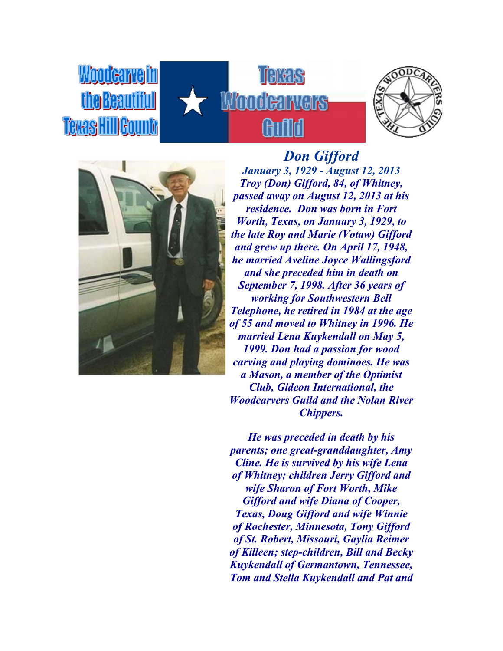





the Beautiful

*Don Gifford January 3, 1929 - August 12, 2013 Troy (Don) Gifford, 84, of Whitney, passed away on August 12, 2013 at his residence. Don was born in Fort Worth, Texas, on January 3, 1929, to the late Roy and Marie (Votaw) Gifford and grew up there. On April 17, 1948, he married Aveline Joyce Wallingsford and she preceded him in death on September 7, 1998. After 36 years of working for Southwestern Bell Telephone, he retired in 1984 at the age of 55 and moved to Whitney in 1996. He married Lena Kuykendall on May 5, 1999. Don had a passion for wood carving and playing dominoes. He was a Mason, a member of the Optimist Club, Gideon International, the Woodcarvers Guild and the Nolan River Chippers.*

*He was preceded in death by his parents; one great-granddaughter, Amy Cline. He is survived by his wife Lena of Whitney; children Jerry Gifford and wife Sharon of Fort Worth, Mike Gifford and wife Diana of Cooper, Texas, Doug Gifford and wife Winnie of Rochester, Minnesota, Tony Gifford of St. Robert, Missouri, Gaylia Reimer of Killeen; step-children, Bill and Becky Kuykendall of Germantown, Tennessee, Tom and Stella Kuykendall and Pat and*